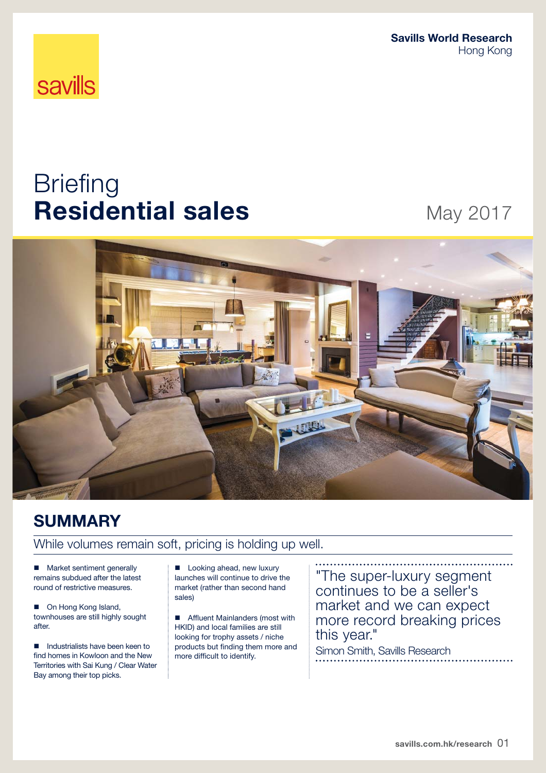**Savills World Research**  Hong Kong

# **savills**

# **Briefing Residential sales** May 2017



# **SUMMARY**

# While volumes remain soft, pricing is holding up well.

**Market sentiment generally** remains subdued after the latest round of restrictive measures.

■ On Hong Kong Island, townhouses are still highly sought after.

Industrialists have been keen to find homes in Kowloon and the New Territories with Sai Kung / Clear Water Bay among their top picks.

**Looking ahead, new luxury** launches will continue to drive the market (rather than second hand sales)

**Affluent Mainlanders (most with** HKID) and local families are still looking for trophy assets / niche products but finding them more and more difficult to identify.

"The super-luxury segment continues to be a seller's market and we can expect more record breaking prices this year."

Simon Smith, Savills Research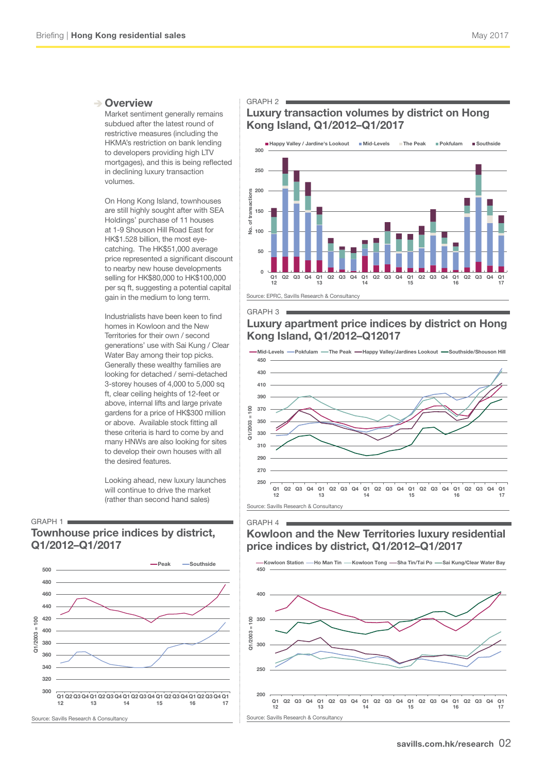#### **→ Overview**

Market sentiment generally remains subdued after the latest round of restrictive measures (including the HKMA's restriction on bank lending to developers providing high LTV mortgages), and this is being reflected in declining luxury transaction volumes.

On Hong Kong Island, townhouses are still highly sought after with SEA Holdings' purchase of 11 houses at 1-9 Shouson Hill Road East for HK\$1.528 billion, the most eyecatching. The HK\$51,000 average price represented a significant discount to nearby new house developments selling for HK\$80,000 to HK\$100,000 per sq ft, suggesting a potential capital gain in the medium to long term.

Industrialists have been keen to find homes in Kowloon and the New Territories for their own / second generations' use with Sai Kung / Clear Water Bay among their top picks. Generally these wealthy families are looking for detached / semi-detached 3-storey houses of 4,000 to 5,000 sq ft, clear ceiling heights of 12-feet or above, internal lifts and large private gardens for a price of HK\$300 million or above. Available stock fitting all these criteria is hard to come by and many HNWs are also looking for sites to develop their own houses with all the desired features.

Looking ahead, new luxury launches will continue to drive the market (rather than second hand sales)

#### GRAPH 1

### **Townhouse price indices by district, Q1/2012–Q1/2017**



#### GRAPH 2

## **Luxury transaction volumes by district on Hong Kong Island, Q1/2012–Q1/2017**



#### GRAPH 3

GRAPH 4

### **Luxury apartment price indices by district on Hong Kong Island, Q1/2012–Q12017**



# **Kowloon and the New Territories luxury residential price indices by district, Q1/2012–Q1/2017**

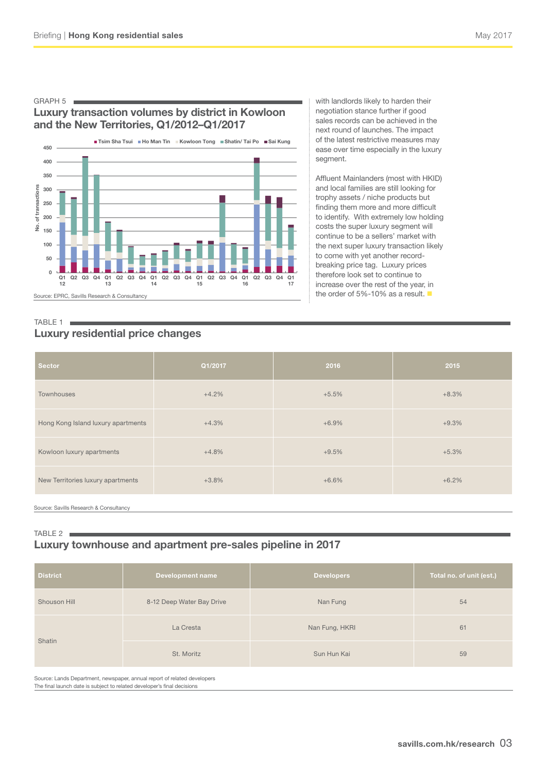#### GRAPH 5

# **Luxury transaction volumes by district in Kowloon and the New Territories, Q1/2012–Q1/2017**



with landlords likely to harden their negotiation stance further if good sales records can be achieved in the next round of launches. The impact of the latest restrictive measures may ease over time especially in the luxury segment.

Affluent Mainlanders (most with HKID) and local families are still looking for trophy assets / niche products but finding them more and more difficult to identify. With extremely low holding costs the super luxury segment will continue to be a sellers' market with the next super luxury transaction likely to come with yet another recordbreaking price tag. Luxury prices therefore look set to continue to increase over the rest of the year, in the order of 5%-10% as a result.

#### TABLE 1 **Luxury residential price changes**

| <b>Sector</b>                      | Q1/2017 | 2016    | 2015    |
|------------------------------------|---------|---------|---------|
| Townhouses                         | $+4.2%$ | $+5.5%$ | $+8.3%$ |
| Hong Kong Island luxury apartments | $+4.3%$ | $+6.9%$ | $+9.3%$ |
| Kowloon luxury apartments          | $+4.8%$ | $+9.5%$ | $+5.3%$ |
| New Territories luxury apartments  | $+3.8%$ | $+6.6%$ | $+6.2%$ |
|                                    |         |         |         |

Source: Savills Research & Consultancy

#### TABLE 2 **I Luxury townhouse and apartment pre-sales pipeline in 2017**

| <b>District</b>                                                                             | <b>Development name</b>   | <b>Developers</b> | Total no. of unit (est.) |  |
|---------------------------------------------------------------------------------------------|---------------------------|-------------------|--------------------------|--|
| Shouson Hill                                                                                | 8-12 Deep Water Bay Drive | Nan Fung          | 54                       |  |
| Shatin                                                                                      | La Cresta                 | Nan Fung, HKRI    | 61                       |  |
|                                                                                             | St. Moritz                | Sun Hun Kai       | 59                       |  |
| On the collected District and the collection of the collected of additional distribution of |                           |                   |                          |  |

Source: Lands Department, newspaper, annual report of related developers The final launch date is subject to related developer's final decisions